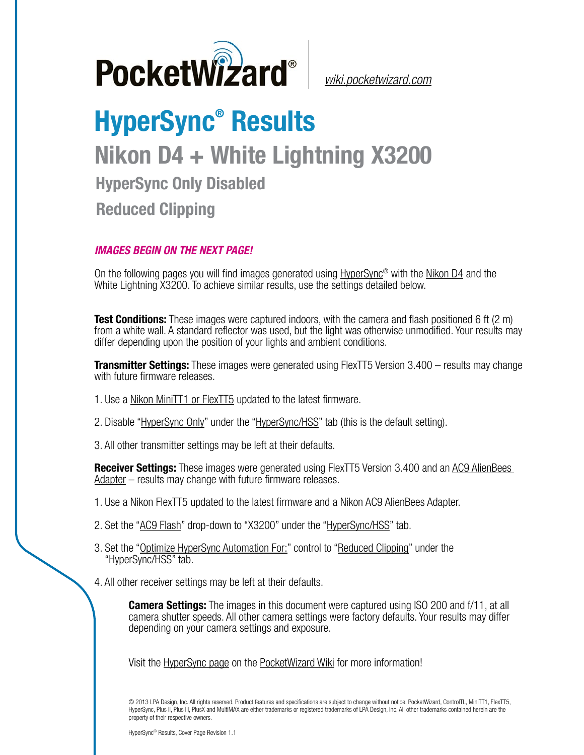

*[wiki.pocketwizard.com](http://wiki.pocketwizard.com/)*

## **HyperSync® Results Nikon D4 + White Lightning X3200 HyperSync Only Disabled Reduced Clipping**

## *IMAGES BEGIN ON THE NEXT PAGE!*

On the following pages you will find images generated using [HyperSync](http://wiki.pocketwizard.com/index.php?title=Hypersync)® with the [Nikon D4](http://wiki.pocketwizard.com/index.php?title=Nikon_D4) and the White Lightning X3200. To achieve similar results, use the settings detailed below.

**Test Conditions:** These images were captured indoors, with the camera and flash positioned 6 ft (2 m) from a white wall. A standard reflector was used, but the light was otherwise unmodified. Your results may differ depending upon the position of your lights and ambient conditions.

**Transmitter Settings:** These images were generated using FlexTT5 Version 3.400 – results may change with future firmware releases.

- 1. Use a [Nikon MiniTT1 or FlexTT5](http://wiki.pocketwizard.com/index.php?title=MiniTT1_and_FlexTT5) updated to the latest firmware.
- 2. Disable "[HyperSync Only](http://wiki.pocketwizard.com/index.php?title=Hypersync_hss_tab#HyperSync_Only_.28Disable_HSS.2FFP.29)" under the ["HyperSync/HSS](http://wiki.pocketwizard.com/index.php?title=Hypersync_hss_tab)" tab (this is the default setting).
- 3. All other transmitter settings may be left at their defaults.

**Receiver Settings:** These images were generated using FlexTT5 Version 3.400 and an [AC9 AlienBees](http://wiki.pocketwizard.com/index.php?title=AC9_AlienBees_Adapter)  [Adapter](http://wiki.pocketwizard.com/index.php?title=AC9_AlienBees_Adapter) – results may change with future firmware releases.

- 1. Use a Nikon [FlexTT5](http://wiki.pocketwizard.com/index.php?title=Canon_MiniTT1_and_FlexTT5) updated to the latest firmware and a Nikon AC9 AlienBees Adapter.
- 2. Set the "[AC9 Flash](http://wiki.pocketwizard.com/index.php?title=HyperSync/HSS_Tab#AC9_Flash)" drop-down to "X3200" under the "[HyperSync/HSS"](http://wiki.pocketwizard.com/index.php?title=Hypersync_hss_tab) tab.
- 3. Set the "[Optimize HyperSync Automation For:](http://wiki.pocketwizard.com/index.php?title=HyperSync/HSS_Tab#Optimize_HyperSync_Automation_For:)" control to ["Reduced Clipping"](http://wiki.pocketwizard.com/index.php?title=HyperSync/HSS_Tab#Optimize_HyperSync_Automation_For:) under the "HyperSync/HSS" tab.
- 4. All other receiver settings may be left at their defaults.

**Camera Settings:** The images in this document were captured using ISO 200 and f/11, at all camera shutter speeds. All other camera settings were factory defaults. Your results may differ depending on your camera settings and exposure.

Visit the [HyperSync page](http://wiki.pocketwizard.com/index.php?title=Hypersync) on the [PocketWizard Wiki](http://wiki.pocketwizard.com/) for more information!

© 2013 LPA Design, Inc. All rights reserved. Product features and specifications are subject to change without notice. PocketWizard, ControlTL, MiniTT1, FlexTT5, HyperSync, Plus II, Plus III, PlusX and MultiMAX are either trademarks or registered trademarks of LPA Design, Inc. All other trademarks contained herein are the property of their respective owners.

HyperSync® Results, Cover Page Revision 1.1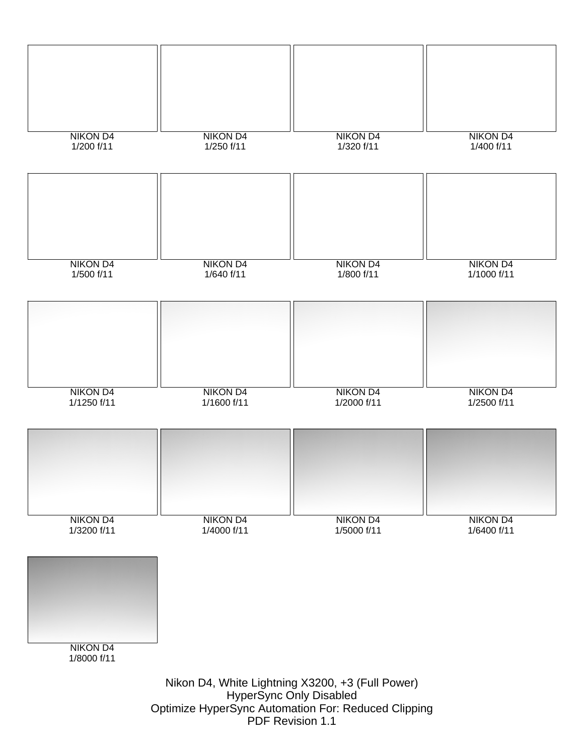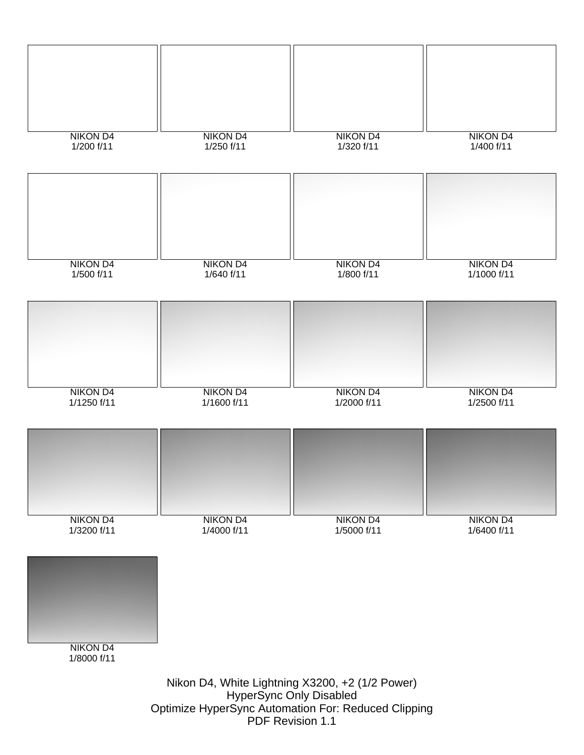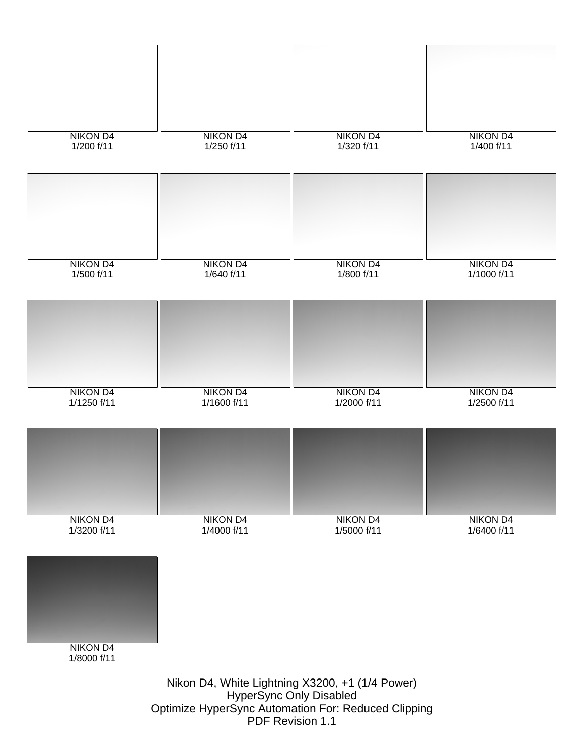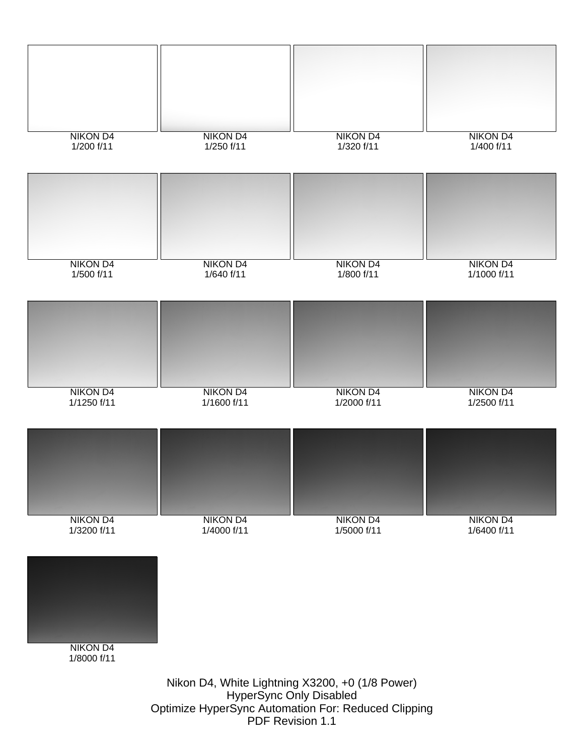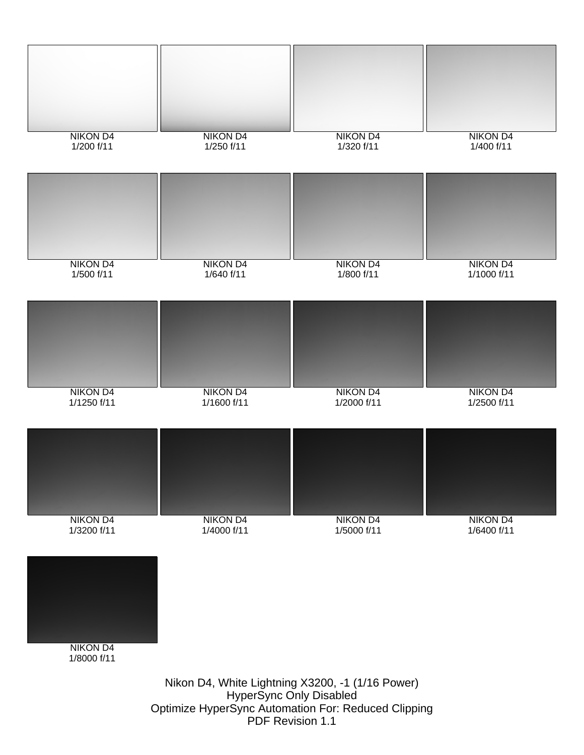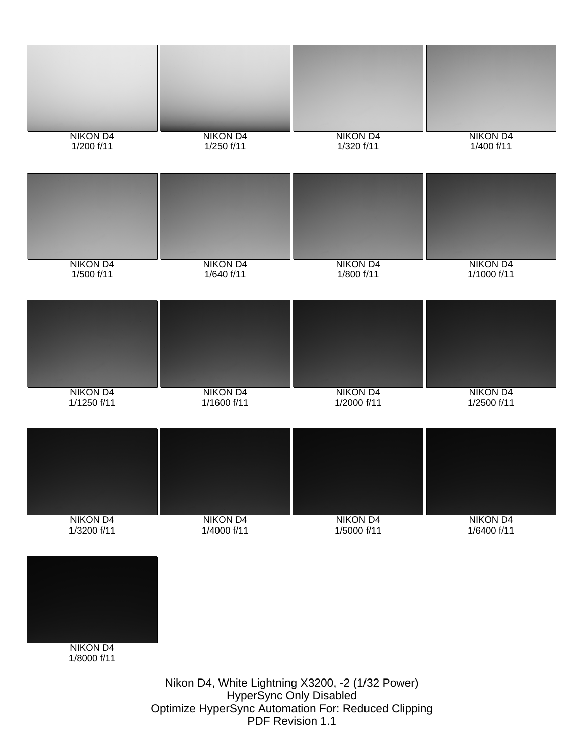